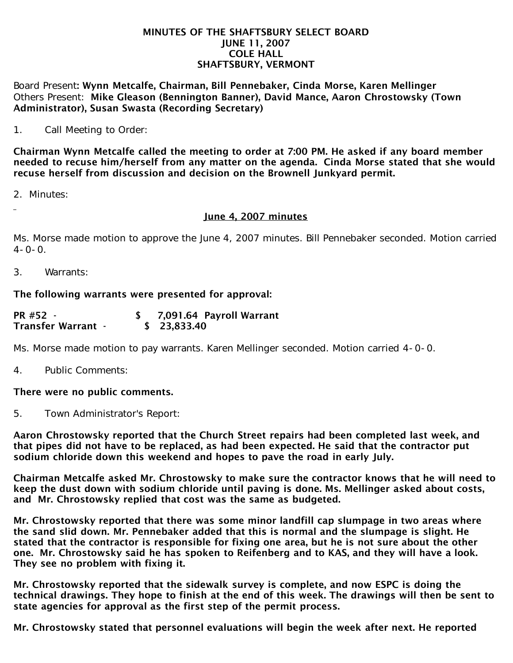#### MINUTES OF THE SHAFTSBURY SELECT BOARD JUNE 11, 2007 COLE HALL SHAFTSBURY, VERMONT

Board Present: Wynn Metcalfe, Chairman, Bill Pennebaker, Cinda Morse, Karen Mellinger Others Present: Mike Gleason (Bennington Banner), David Mance, Aaron Chrostowsky (Town Administrator), Susan Swasta (Recording Secretary)

1. Call Meeting to Order:

Chairman Wynn Metcalfe called the meeting to order at 7:00 PM. He asked if any board member needed to recuse him/herself from any matter on the agenda. Cinda Morse stated that she would recuse herself from discussion and decision on the Brownell Junkyard permit.

2. Minutes:

### June 4, 2007 minutes

Ms. Morse made motion to approve the June 4, 2007 minutes. Bill Pennebaker seconded. Motion carried  $4 - 0 - 0$ .

3. Warrants:

## The following warrants were presented for approval:

| PR #52 -                  | 7,091.64 Payroll Warrant |
|---------------------------|--------------------------|
| <b>Transfer Warrant -</b> | \$23,833.40              |

Ms. Morse made motion to pay warrants. Karen Mellinger seconded. Motion carried 4-0-0.

4. Public Comments:

### There were no public comments.

5. Town Administrator's Report:

Aaron Chrostowsky reported that the Church Street repairs had been completed last week, and that pipes did not have to be replaced, as had been expected. He said that the contractor put sodium chloride down this weekend and hopes to pave the road in early July.

Chairman Metcalfe asked Mr. Chrostowsky to make sure the contractor knows that he will need to keep the dust down with sodium chloride until paving is done. Ms. Mellinger asked about costs, and Mr. Chrostowsky replied that cost was the same as budgeted.

Mr. Chrostowsky reported that there was some minor landfill cap slumpage in two areas where the sand slid down. Mr. Pennebaker added that this is normal and the slumpage is slight. He stated that the contractor is responsible for fixing one area, but he is not sure about the other one. Mr. Chrostowsky said he has spoken to Reifenberg and to KAS, and they will have a look. They see no problem with fixing it.

Mr. Chrostowsky reported that the sidewalk survey is complete, and now ESPC is doing the technical drawings. They hope to finish at the end of this week. The drawings will then be sent to state agencies for approval as the first step of the permit process.

Mr. Chrostowsky stated that personnel evaluations will begin the week after next. He reported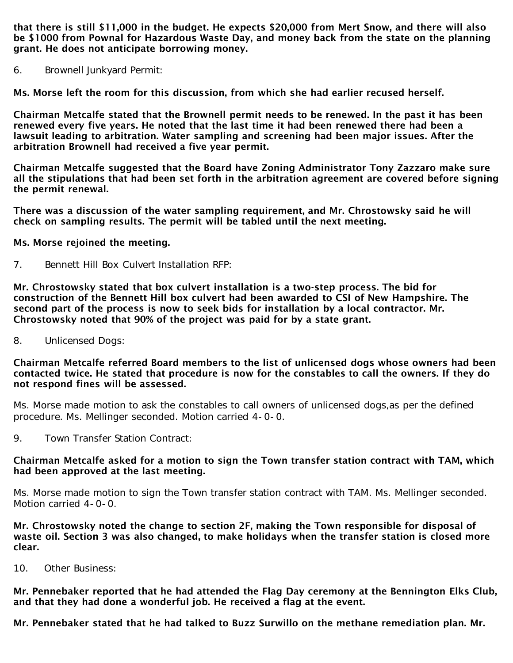that there is still \$11,000 in the budget. He expects \$20,000 from Mert Snow, and there will also be \$1000 from Pownal for Hazardous Waste Day, and money back from the state on the planning grant. He does not anticipate borrowing money.

6. Brownell Junkyard Permit:

Ms. Morse left the room for this discussion, from which she had earlier recused herself.

Chairman Metcalfe stated that the Brownell permit needs to be renewed. In the past it has been renewed every five years. He noted that the last time it had been renewed there had been a lawsuit leading to arbitration. Water sampling and screening had been major issues. After the arbitration Brownell had received a five year permit.

Chairman Metcalfe suggested that the Board have Zoning Administrator Tony Zazzaro make sure all the stipulations that had been set forth in the arbitration agreement are covered before signing the permit renewal.

There was a discussion of the water sampling requirement, and Mr. Chrostowsky said he will check on sampling results. The permit will be tabled until the next meeting.

### Ms. Morse rejoined the meeting.

7. Bennett Hill Box Culvert Installation RFP:

Mr. Chrostowsky stated that box culvert installation is a two-step process. The bid for construction of the Bennett Hill box culvert had been awarded to CSI of New Hampshire. The second part of the process is now to seek bids for installation by a local contractor. Mr. Chrostowsky noted that 90% of the project was paid for by a state grant.

8. Unlicensed Dogs:

Chairman Metcalfe referred Board members to the list of unlicensed dogs whose owners had been contacted twice. He stated that procedure is now for the constables to call the owners. If they do not respond fines will be assessed.

Ms. Morse made motion to ask the constables to call owners of unlicensed dogs,as per the defined procedure. Ms. Mellinger seconded. Motion carried 4-0-0.

9. Town Transfer Station Contract:

### Chairman Metcalfe asked for a motion to sign the Town transfer station contract with TAM, which had been approved at the last meeting.

Ms. Morse made motion to sign the Town transfer station contract with TAM. Ms. Mellinger seconded. Motion carried 4-0-0.

Mr. Chrostowsky noted the change to section 2F, making the Town responsible for disposal of waste oil. Section 3 was also changed, to make holidays when the transfer station is closed more clear.

10. Other Business:

Mr. Pennebaker reported that he had attended the Flag Day ceremony at the Bennington Elks Club, and that they had done a wonderful job. He received a flag at the event.

Mr. Pennebaker stated that he had talked to Buzz Surwillo on the methane remediation plan. Mr.